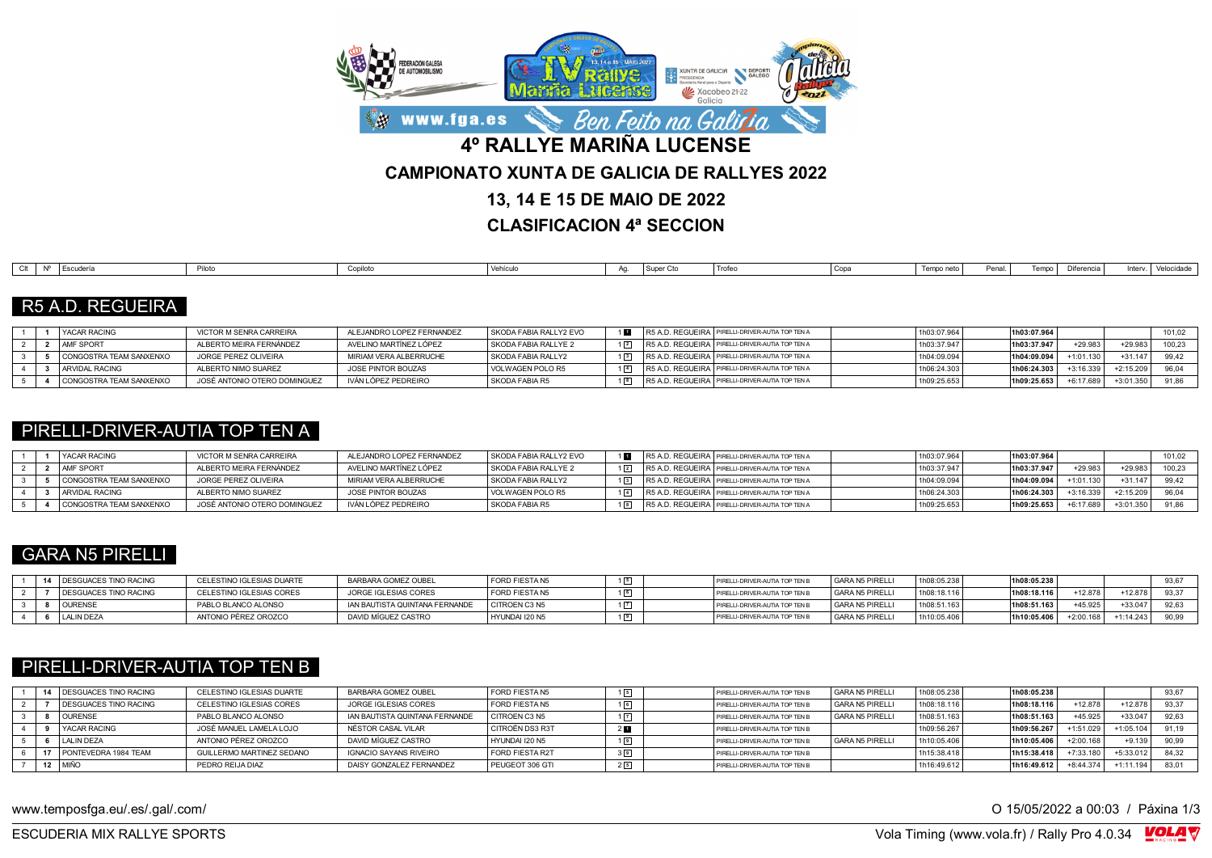

**CLASIFICACION 4ª SECCION**

| Escudería | .<br>טוטווי | Copiloto | veniculo | . . | Super Cto<br>. ouv | - 110 | Copa | Tempo neto | Penal. | nife concin | $1 - 1 -$ | velocidade |
|-----------|-------------|----------|----------|-----|--------------------|-------|------|------------|--------|-------------|-----------|------------|

### R5 A.D. REGUEIRA

|  | YACAR RACING            | VICTOR M SENRA CARREIRA      | ALEJANDRO LOPEZ FERNANDEZ | SKODA FABIA RALLY2 EVO |  | R5 A.D. REGUEIRA   PIRELLI-DRIVER-AUTIA TOP TEN A | 1h03:07.964 | 1h03:07.964 |            |             | 101,02 |
|--|-------------------------|------------------------------|---------------------------|------------------------|--|---------------------------------------------------|-------------|-------------|------------|-------------|--------|
|  | AMF SPORT               | ALBERTO MEIRA FERNÁNDEZ      | AVELINO MARTÍNEZ LÓPEZ    | SKODA FABIA RALLYE 2   |  | R5 A.D. REGUEIRA   PIRELLI-DRIVER-AUTIA TOP TEN A | 1h03:37.947 | 1h03:37.947 | +29.983    | $+29.98$    | 100.23 |
|  | CONGOSTRA TEAM SANXENXO | JORGE PEREZ OLIVEIRA         | MIRIAM VERA ALBERRUCHE    | SKODA FABIA RALLY2     |  | R5 A.D. REGUEIRA PIRELLI-DRIVER-AUTIA TOP TEN A   | 1h04:09.094 | 1h04:09.094 | +1:01.130  | $+31.147$   | 99.42  |
|  | <b>ARVIDAL RACING</b>   | ALBERTO NIMO SUAREZ          | JOSE PINTOR BOUZAS        | VOLWAGEN POLO R5       |  | R5 A.D. REGUEIRA PIRELLI-DRIVER-AUTIA TOP TEN A   | 1h06:24.303 | 1h06:24.303 |            | $+2:15.209$ |        |
|  | CONGOSTRA TEAM SANXENXO | JOSÉ ANTONIO OTERO DOMINGUEZ | IVÁN LÓPEZ PEDREIRO       | SKODA FABIA R5         |  | R5 A.D. REGUEIRA PIRELLI-DRIVER-AUTIA TOP TEN A   | 1h09:25.653 | 1h09:25.653 | $-6.17689$ | $+3:01.350$ |        |

#### PIRELLI-DRIVER-AUTIA TOP TEN A

|  | <b>YACAR RACING</b>     | VICTOR M SENRA CARREIRA      | ALEJANDRO LOPEZ FERNANDEZ | SKODA FABIA RALLY2 EVO | $1$ M | R5 A.D. REGUEIRA   PIRELLI-DRIVER-AUTIA TOP TEN A | 1h03:07.964 | 1h03:07.964 |             |             | 101,02 |
|--|-------------------------|------------------------------|---------------------------|------------------------|-------|---------------------------------------------------|-------------|-------------|-------------|-------------|--------|
|  | <b>AMF SPORT</b>        | ALBERTO MEIRA FERNÁNDEZ      | AVELINO MARTÍNEZ LÓPEZ    | SKODA FABIA RALLYE 2   |       | R5 A.D. REGUEIRA   PIRELLI-DRIVER-AUTIA TOP TEN A | 1h03:37.947 | 1h03:37.947 | $+29.98$    | $+29.98.$   | 100,23 |
|  | CONGOSTRA TEAM SANXENXO | JORGE PEREZ OLIVEIRA         | MIRIAM VERA ALBERRUCHE    | SKODA FABIA RALLY2     |       | R5 A.D. REGUEIRA   PIRELLI-DRIVER-AUTIA TOP TEN A | 1h04:09.094 | 1h04:09.094 | $-1:01.130$ | $+31.147$   | 99.42  |
|  | ARVIDAL RACING          | ALBERTO NIMO SUAREZ          | JOSE PINTOR BOUZAS        | VOLWAGEN POLO R5       |       | R5 A.D. REGUEIRA   PIRELLI-DRIVER-AUTIA TOP TEN A | 1h06:24.303 | 1h06:24.303 | $+3.16.339$ | $-2.15.209$ |        |
|  | CONGOSTRA TEAM SANXENXO | JOSÉ ANTONIO OTERO DOMINGUEZ | IVÁN LÓPEZ PEDREIRO       | SKODA FABIA R5         |       | R5 A.D. REGUEIRA PIRELLI-DRIVER-AUTIA TOP TEN A   | 1h09:25.653 | 1h09:25.653 | $+6:17.689$ | $+3:01.350$ |        |

## GARA N5 PIRELLI

|  | 14 DESGUACES TINO RACING | CELESTINO IGLESIAS DUARTE | BARBARA GOMEZ OUBEL            | FORD FIESTA N5 | PIRELLI-DRIVER-AUTIA TOP TEN b              | GARA N5 PIRELLI | 1h08:05.238 | 1h08:05.238 |           |             | 93,67 |
|--|--------------------------|---------------------------|--------------------------------|----------------|---------------------------------------------|-----------------|-------------|-------------|-----------|-------------|-------|
|  | DESGUACES TINO RACING    | CELESTINO IGLESIAS CORES  | JORGE IGLESIAS CORES           | FORD FIESTA N5 | <sup>1</sup> PIRELLI-DRIVER-AUTIA TOP TEN L | GARA N5 PIRELLI | 1h08:18.116 | 1h08:18.116 | +12.878   | $+12.878$   | 93.37 |
|  | <b>OURENSE</b>           | PABLO BLANCO ALONSO       | IAN BAUTISTA QUINTANA FERNANDE | CITROEN C3 N5  | PIRELLI-DRIVER-AUTIA TOP TEN B              | GARA N5 PIRELLI | 1h08:51.163 | 1h08:51.163 | +45.925   | $+33.047$   |       |
|  | LALIN DEZA               | ANTONIO PÉREZ OROZCO      | DAVID MÍGUEZ CASTRO            | HYUNDAI I20 N5 | PIRELLI-DRIVER-AUTIA TOP TEN                | GARA N5 PIRELLI | 1h10:05.406 | 1h10:05.406 | +2:00.168 | $+1:14.243$ | 90,99 |

# PIRELLI-DRIVER-AUTIA TOP TEN B

| <b>DESGUACES TINO RACING</b><br>$\mathbf{A}$ | CELESTINO IGLESIAS DUARTE | BARBARA GOMEZ OUBEL            | I FORD FIESTA N5 |    | PIRELLI-DRIVER-AUTIA TOP TEN B | <b>GARA N5 PIRELLI</b> | 1h08:05.238  | 1h08:05.238 |             |             | 93,67 |
|----------------------------------------------|---------------------------|--------------------------------|------------------|----|--------------------------------|------------------------|--------------|-------------|-------------|-------------|-------|
| <b>DESGUACES TINO RACING</b>                 | CELESTINO IGLESIAS CORES  | JORGE IGLESIAS CORES           | FORD FIESTA N5   |    | PIRELLI-DRIVER-AUTIA TOP TEN B | <b>GARA N5 PIRELLI</b> | 1h08:18.116  | 1h08:18.116 | +12.878     | $+12.878$   | 93.37 |
| <b>OURENSE</b>                               | PABLO BLANCO ALONSO       | IAN BAUTISTA QUINTANA FERNANDE | I CITROEN C3 N5  |    | PIRELLI-DRIVER-AUTIA TOP TEN B | <b>GARA N5 PIRELLI</b> | 11h08:51.163 | 1h08:51.163 | +45.925     | $+33.04$    | 92.63 |
| <b>YACAR RACING</b>                          | JOSÉ MANUEL LAMELA LOJO   | NÉSTOR CASAL VILAR             | CITROËN DS3 R3T  |    | PIRELLI-DRIVER-AUTIA TOP TEN B |                        | 1h09:56.267  | 1h09:56.267 | +1:51.029   | $+1:05.104$ | 91.19 |
| <b>LALIN DEZA</b>                            | ANTONIO PÉREZ OROZCO      | DAVID MÍGUEZ CASTRO            | HYUNDAI I20 N5   |    | PIRELLI-DRIVER-AUTIA TOP TEN E | <b>GARA N5 PIRELLI</b> | 1h10:05.406  | 1h10:05.406 | $+2:00.168$ | $+9.139$    | 90.99 |
| PONTEVEDRA 1984 TEAM                         | GUILLERMO MARTINEZ SEDANO | IGNACIO SAYANS RIVEIRO         | FORD FIESTA R2T  |    | PIRELLI-DRIVER-AUTIA TOP TEN B |                        | 1h15:38.418  | 1h15:38.418 | 7:33.180    | +5:33.012   | 84.32 |
| 12 MIÑO                                      | PEDRO REIJA DIAZ          | DAISY GONZALEZ FERNANDEZ       | PEUGEOT 306 GTI  | 25 | PIRELLI-DRIVER-AUTIA TOP TEN B |                        | 1h16:49.612  | 1h16:49.612 | $+8:44.374$ | $+1:11.194$ | 83.0  |

www.temposfga.eu/.es/.gal/.com/ **O 15/05/2022** a 00:03 / Páxina 1/3

VolaSoftControlPdf ESCUDERIA MIX RALLYE SPORTS Vola Timing (www.vola.fr) / Rally Pro 4.0.34

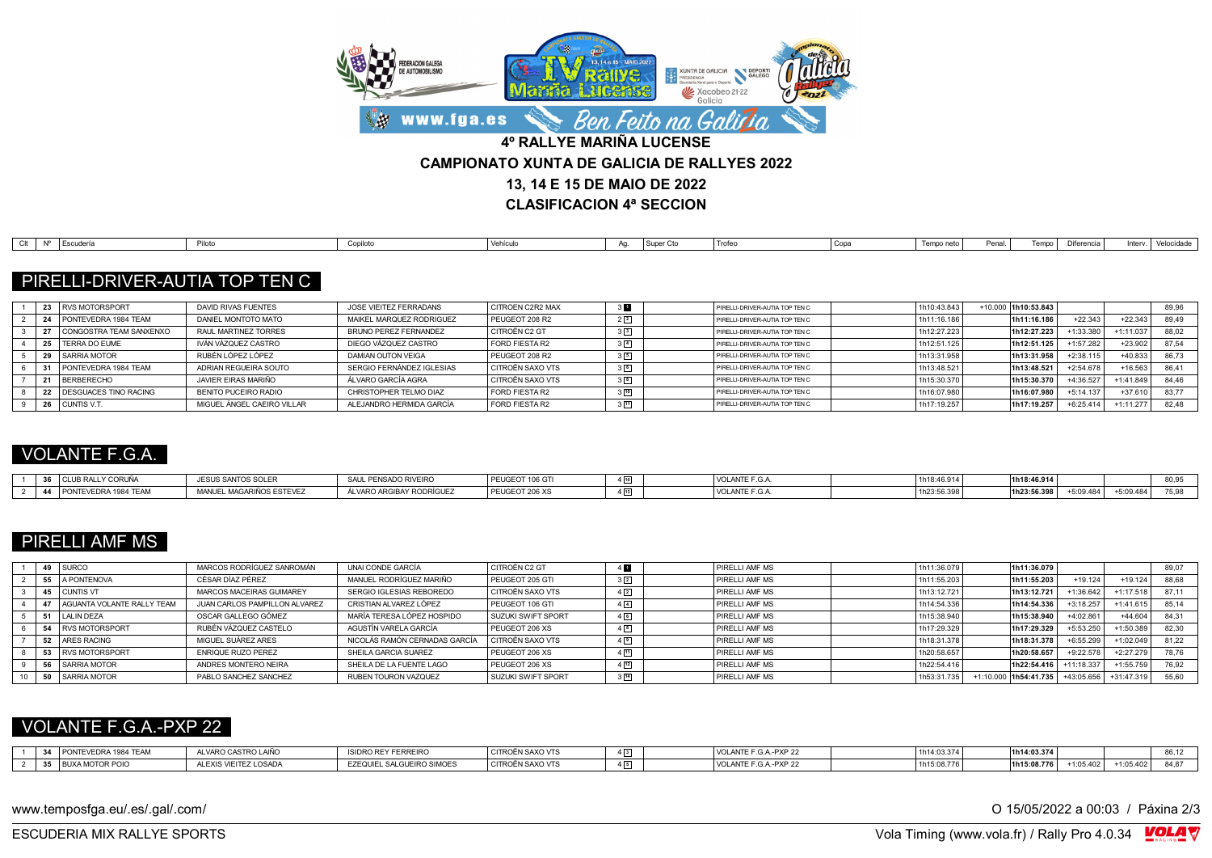

| Escudería<br>Piloto<br>Super (<br>Diferencia -<br>. Velocidade<br>Tempo neto<br>Copiloto<br>Penal.<br>Copa<br>Trote<br>AG.<br>enicuk<br>. |
|-------------------------------------------------------------------------------------------------------------------------------------------|
|-------------------------------------------------------------------------------------------------------------------------------------------|

## PIRELLI-DRIVER-AUTIA TOP TEN C

| 23.1 | RVS MOTORSPORT               | DAVID RIVAS FUENTES        | JOSE VIEITEZ FERRADANS    | <b>CITROEN C2R2 MAX</b> | PIRELLI-DRIVER-AUTIA TOP TEN C | 1h10:43.843 | +10.000 1h10:53.843 |             |             | 89,96 |
|------|------------------------------|----------------------------|---------------------------|-------------------------|--------------------------------|-------------|---------------------|-------------|-------------|-------|
|      | PONTEVEDRA 1984 TEAM         | DANIEL MONTOTO MATO        | MAIKEL MAROUEZ RODRIGUEZ  | PEUGEOT 208 R2          | PIRELLI-DRIVER-AUTIA TOP TEN C | 1h11:16.186 | 1h11:16.186         | $+22.343$   | $+22.34$    | 89.49 |
|      | CONGOSTRA TEAM SANXENXO      | RAUL MARTINEZ TORRES       | BRUNO PEREZ FERNANDEZ     | CITROËN C2 GT           | PIRELLI-DRIVER-AUTIA TOP TEN C | 1h12:27.223 | 1h12:27.223         | +1:33.380   | 1:11.03     | 88.02 |
| 25   | <b>TERRA DO EUME</b>         | IVÁN VÁZQUEZ CASTRO        | DIEGO VÁZQUEZ CASTRO      | FORD FIESTA R2          | PIRELLI-DRIVER-AUTIA TOP TEN C | 1h12:51.125 | 1h12:51.125         | $+1:57.282$ | $+23.902$   | 87.54 |
|      | SARRIA MOTOR                 | RUBÉN LÓPEZ LÓPEZ          | DAMIAN OUTON VEIGA        | PEUGEOT 208 R2          | PIRELLI-DRIVER-AUTIA TOP TEN C | 1h13:31.958 | 1h13:31.958         | $+2:38.115$ | $+40.833$   | 86.73 |
|      | PONTEVEDRA 1984 TEAM         | ADRIAN REGUEIRA SOUTO      | SERGIO FERNÁNDEZ IGLESIAS | <b>CITROËN SAXO VTS</b> | PIRELLI-DRIVER-AUTIA TOP TEN C | 1h13:48.521 | 1h13:48.521         | $+2:54.678$ | +16.563     | 86.41 |
|      | <b>BERBERECHO</b>            | JAVIER FIRAS MARIÑO        | ÁLVARO GARCÍA AGRA        | <b>CITROËN SAXO VTS</b> | PIRELLI-DRIVER-AUTIA TOP TEN C | 1h15:30.370 | 1h15:30.370         | +4:36.527   | $+1:41.849$ | 84.46 |
|      | <b>DESGUACES TINO RACING</b> | BENITO PUCEIRO RADIO       | CHRISTOPHER TELMO DIAZ    | FORD FIESTA R2          | PIRELLI-DRIVER-AUTIA TOP TEN C | 1h16:07.980 | 1h16:07.980         | $+5:14.137$ | $+37.61$    | 83.77 |
|      | CUNTIS V.T.                  | MIGUEL ÁNGEL CAEIRO VILLAR | ALEJANDRO HERMIDA GARCÍA  | FORD FIESTA R2          | PIRELLI-DRIVER-AUTIA TOP TEN C | 1h17:19.257 | 1h17:19.257         | $+6:25.414$ | $-1:11.27$  | 82.48 |

#### VOLANTE F.G.A.

| 2c                                        | <b>SANTOS SOLER</b><br>$-11.1$       | PENSADO RIVEIRO              | PEU(<br><b>EOT 106 GT</b>  |                          | VULANIE<br>.u.A | $\sim$ $\sim$ $\sim$ $\sim$ $\sim$ | <sup>1</sup> 1h18:46.914 |          |                             | ----<br>-- |
|-------------------------------------------|--------------------------------------|------------------------------|----------------------------|--------------------------|-----------------|------------------------------------|--------------------------|----------|-----------------------------|------------|
| EDRA 1984 TEAM<br>$\overline{A}$<br>'V⊏IJ | <b>MANUFL</b><br>. MAGARIÑOS ESTEVE. | VARO ARGIBAY<br>"Y RODRIGULL | <b>PEUGE</b><br>EOT 206 XS | $\overline{\phantom{0}}$ | VOLANIE<br>.u.A | 120.00.00                          | 11h23:56 398             | 0.09.484 | - - -<br>ບ.ບອ. <del>4</del> | -- - -     |

# PIRELLI AMF MS

| <b>SURCO</b><br>49       |                            | MARCOS RODRÍGUEZ SANROMÁN     | UNAI CONDE GARCÍA             | CITROËN C2 GT      | 4                | PIRELLI AMF MS | 1h11:36.079              |             | 1h11:36.079 |             |             | 89.07 |
|--------------------------|----------------------------|-------------------------------|-------------------------------|--------------------|------------------|----------------|--------------------------|-------------|-------------|-------------|-------------|-------|
| 55                       | A PONTENOVA                | CÉSAR DÍAZ PÉREZ              | MANUEL RODRÍGUEZ MARIÑO       | PEUGEOT 205 GTI    | $3\sqrt{2}$      | PIRELLI AMF MS | 1h11:55.203              |             | 1h11:55.203 | $+19.124$   | $+19.124$   | 88.68 |
| 45 CUNTIS VT             |                            | MARCOS MACEIRAS GUIMAREY      | SERGIO IGLESIAS REBOREDO      | CITROËN SAXO VTS   | $4\sqrt{2}$      | PIRELLI AMF MS | <sup>1</sup> 1h13:12.721 |             | 1h13:12.721 | $-1:36.642$ | $-1:17.518$ | 87.11 |
|                          | AGUANTA VOLANTE RALLY TEAM | JUAN CARLOS PAMPILLON ALVAREZ | CRISTIAN ALVAREZ LÓPEZ        | PEUGEOT 106 GTI    |                  | PIRELLI AMF MS | 1h14:54.336              |             | 1h14:54.336 | $+3:18.257$ | $+1:41.61$  | 85.14 |
| <b>LALIN DEZA</b>        |                            | OSCAR GALLEGO GÓMEZ           | MARÍA TERESA LÓPEZ HOSPIDO    | SUZUKI SWIFT SPORT |                  | PIRELLI AMF MS | 1h15:38.940              |             | 1h15:38.940 | $-4:02.861$ | +44.604     | 84.31 |
| 54                       | <b>RVS MOTORSPORT</b>      | RUBÉN VÁZQUEZ CASTELO         | AGUSTÍN VARELA GARCÍA         | PEUGEOT 206 XS     | 4 <sup>8</sup>   | PIRELLI AMF MS | 1h17:29.329              |             | 1h17:29.329 | -5:53.250   | +1:50.389   | 82.30 |
| 52<br><b>ARES RACING</b> |                            | MIGUEL SUÁREZ ARES            | NICOLÁS RAMÓN CERNADAS GARCÍA | CITROËN SAXO VTS   | $4$ <sup>9</sup> | PIRELLI AMF MS | 1h18:31.378              |             | 1h18:31.378 | $-6:55.299$ | +1:02.049   | 81.22 |
|                          | <b>RVS MOTORSPORT</b>      | <b>ENRIQUE RUZO PEREZ</b>     | SHEILA GARCIA SUAREZ          | PEUGEOT 206 XS     | 4 11             | PIRELLI AMF MS | 1h20:58.657              |             | 1h20:58.657 | $-9:22.578$ | $+2:27.279$ | 78.76 |
| 56                       | <b>SARRIA MOTOR</b>        | ANDRES MONTERO NEIRA          | SHEILA DE LA FUENTE LAGO      | PEUGEOT 206 XS     | 4[12]            | PIRELLI AME MS | 1h22:54.416              |             | 1h22:54.416 | 11:18.337   | $+1:55.759$ | 76.92 |
| 50                       | <b>SARRIA MOTOR</b>        | PABLO SANCHEZ SANCHEZ         | RUBEN TOURON VAZQUEZ          | SUZUKI SWIFT SPORT | $3\sqrt{14}$     | PIRELLI AMF MS | 1h53:31.735              | $+1:10.000$ | 1h54:41.735 | +43:05.656  | $+31:47.31$ | 55,60 |

### VOLANTE F.G.A.-PXP 22

| PONTEVEDRA 1984 TEAM   | ALVARO CASTRO LAIÑO   | <b>ISIDRO REY FERREIRO</b> | I CITROËN SAXO VTS | $4\sqrt{3}$                   | TE F.G.A -PXP 22<br>VULANIE F | 1h14:03.374 | 1h14:03.374              |             | $\sim$ $\sim$<br>ັບ. |
|------------------------|-----------------------|----------------------------|--------------------|-------------------------------|-------------------------------|-------------|--------------------------|-------------|----------------------|
| <b>BUXA MOTOR POIC</b> | ALEXIS VIEITEZ LOSADA | EZEQUIEL SALGUEIRO SIMOES  | CITROËN SAXO VTS   | $\overline{\phantom{0}}$<br>ᄖ | LANTE F.G.A.-PXP 2'           | 1h15:08.776 | +1:05.402<br>1h15:08.776 | $-1:05.402$ |                      |

www.temposfga.eu/.es/.gal/.com/ **O 15/05/2022** a 00:03 / Páxina 2/3

VolaSoftControlPdf ESCUDERIA MIX RALLYE SPORTS Vola Timing (www.vola.fr) / Rally Pro 4.0.34